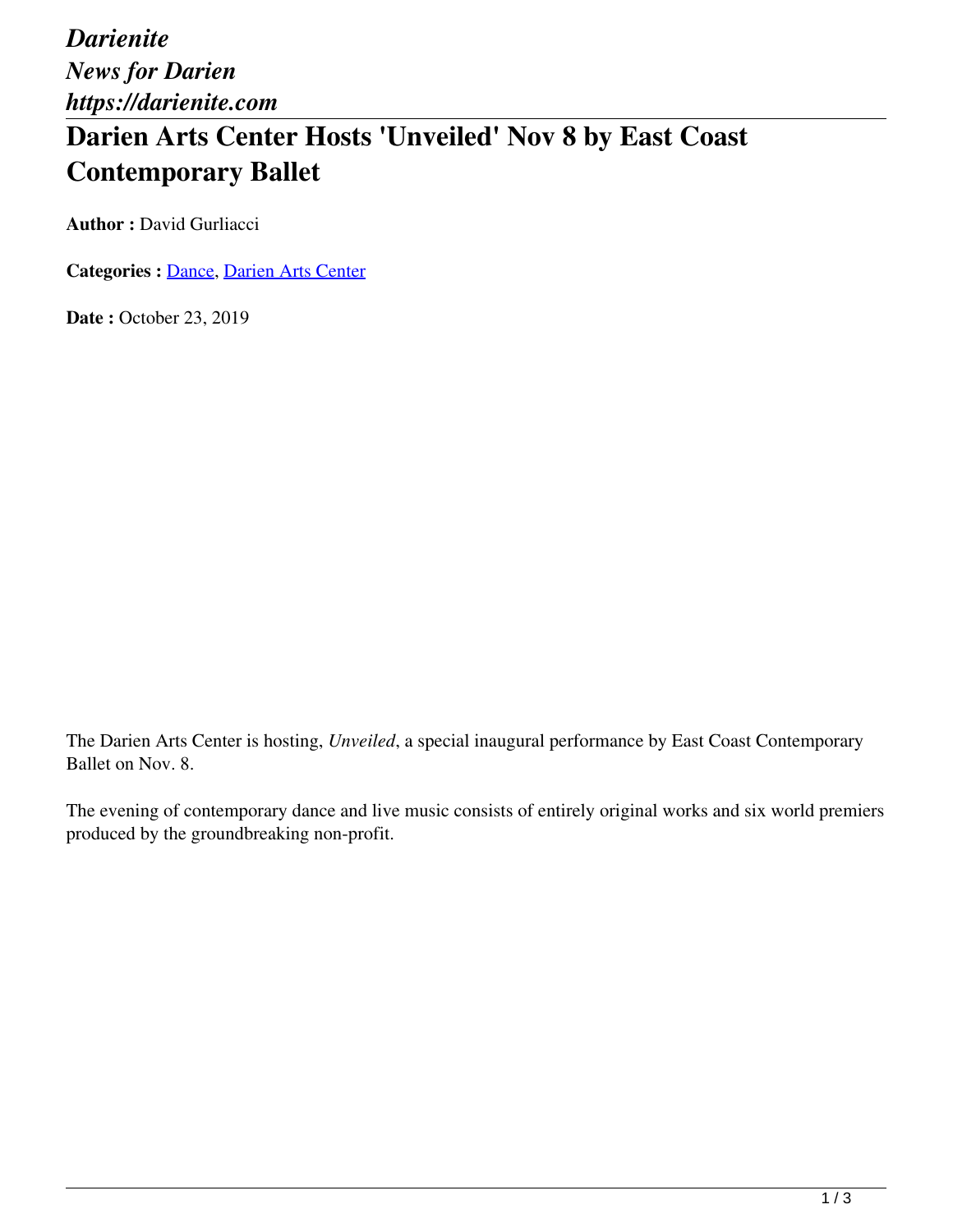*Darienite News for Darien https://darienite.com*

## **Darien Arts Center Hosts 'Unveiled' Nov 8 by East Coast Contemporary Ballet**

**Author : David Gurliacci** 

**Categories :** [Dance,](https://darienite.com/category/arts-entertainment/dance) Darien Arts Center

Date: October 23, 2019

The Darien Arts Center is hosting, *Unveiled*, a special inaugural performance by East Coast Contemporary Ballet on Nov. 8.

The evening of contemporary dance and live music consists of entirely original works and six world premiers produced by the groundbreaking non-profit.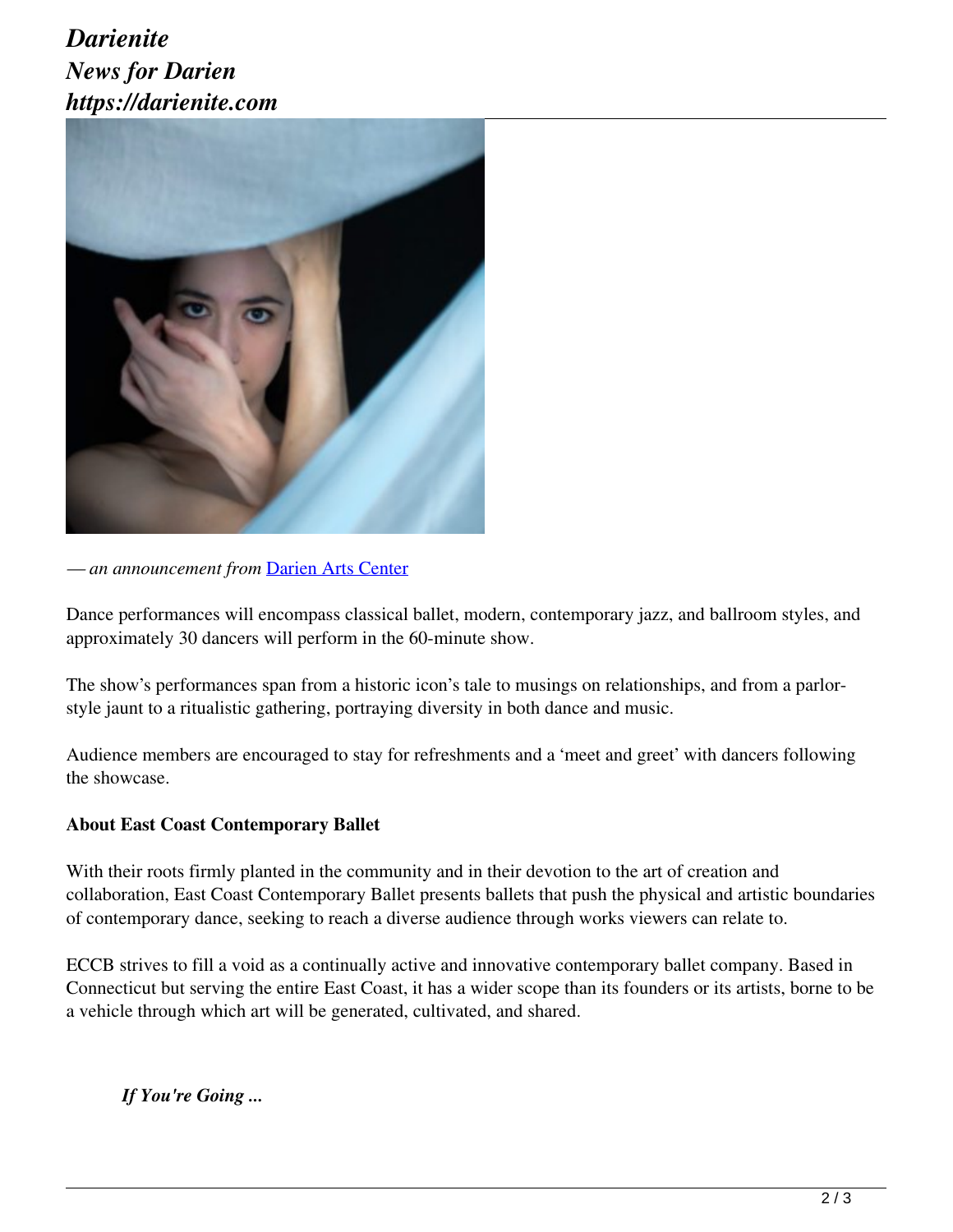## *Darienite News for Darien https://darienite.com*



*— an announcement from* Darien Arts Center

Dance performances will encompass classical ballet, modern, contemporary jazz, and ballroom styles, and approximately 30 dancers will perform in the 60-minute show.

The show's performances span from a historic icon's tale to musings on relationships, and from a parlorstyle jaunt to a ritualistic gathering, portraying diversity in both dance and music.

Audience members are encouraged to stay for refreshments and a 'meet and greet' with dancers following the showcase.

## **About East Coast Contemporary Ballet**

With their roots firmly planted in the community and in their devotion to the art of creation and collaboration, East Coast Contemporary Ballet presents ballets that push the physical and artistic boundaries of contemporary dance, seeking to reach a diverse audience through works viewers can relate to.

ECCB strives to fill a void as a continually active and innovative contemporary ballet company. Based in Connecticut but serving the entire East Coast, it has a wider scope than its founders or its artists, borne to be a vehicle through which art will be generated, cultivated, and shared.

*If You're Going ...*